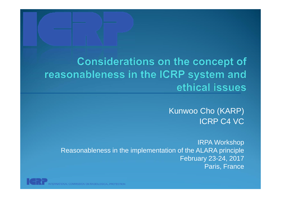### **Considerations on the concept of** reasonableness in the ICRP system and ethical issues

Kunwoo Cho (KARP) ICRP C4 VC

IRPA Workshop Reasonableness in the implementation of the ALARA principle February 23-24, 2017 Paris, France

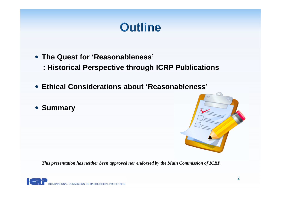# **Outline**

- **The Quest for 'Reasonableness'**
	- **: Historical Perspective through ICRP Publications**
- **Ethical Considerations about 'Reasonableness'**
- **Summary**



*This presentation has neither been approved nor endorsed by the Main Commission of ICRP.*

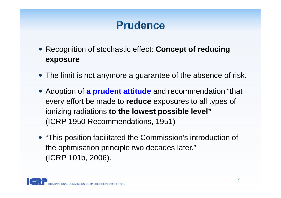## **Prudence**

- Recognition of stochastic effect: **Concept of reducing exposure**
- The limit is not anymore a guarantee of the absence of risk.
- Adoption of **a prudent attitude** and recommendation "that every effort be made to **reduce** exposures to all types of ionizing radiations **to the lowest possible level"** (ICRP 1950 Recommendations, 1951)
- "This position facilitated the Commission's introduction of the optimisation principle two decades later." (ICRP 101b, 2006).

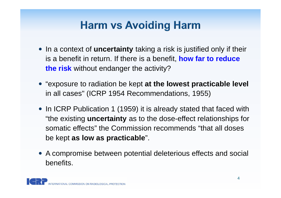## **Harm vs Avoiding Harm**

- In a context of **uncertainty** taking a risk is justified only if their is a benefit in return. If there is a benefit, **how far to reduce the risk** without endanger the activity?
- "exposure to radiation be kept **at the lowest practicable level** in all cases" (ICRP 1954 Recommendations, 1955)
- In ICRP Publication 1 (1959) it is already stated that faced with "the existing **uncertainty** as to the dose-effect relationships for somatic effects" the Commission recommends "that all doses be kept **as low as practicable**".
- A compromise between potential deleterious effects and social benefits.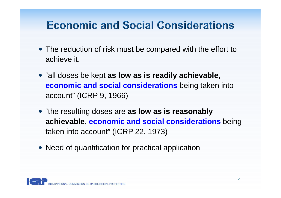## **Economic and Social Considerations**

- The reduction of risk must be compared with the effort to achieve it.
- "all doses be kept **as low as is readily achievable**, **economic and social considerations** being taken into account" (ICRP 9, 1966)
- **"the resulting doses are as low as is reasonably achievable**, **economic and social considerations** being taken into account" (ICRP 22, 1973)
- Need of quantification for practical application

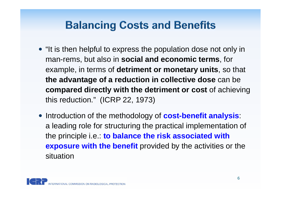## **Balancing Costs and Benefits**

- "It is then helpful to express the population dose not only in man-rems, but also in **social and economic terms**, for example, in terms of **detriment or monetary units**, so that **the advantage of a reduction in collective dose** can be **compared directly with the detriment or cost** of achieving this reduction." (ICRP 22, 1973)
- Introduction of the methodology of **cost-benefit analysis**: a leading role for structuring the practical implementation of the principle i.e.: **to balance the risk associated with exposure with the benefit** provided by the activities or the situation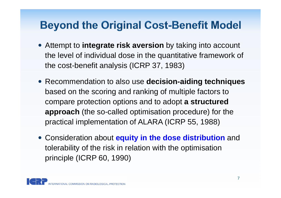## **Beyond the Original Cost-Benefit Model**

- Attempt to **integrate risk aversion** by taking into account the level of individual dose in the quantitative framework of the cost-benefit analysis (ICRP 37, 1983)
- Recommendation to also use **decision-aiding techniques** based on the scoring and ranking of multiple factors to compare protection options and to adopt **a structured approach** (the so-called optimisation procedure) for the practical implementation of ALARA (ICRP 55, 1988)
- Consideration about **equity in the dose distribution** and tolerability of the risk in relation with the optimisation principle (ICRP 60, 1990)

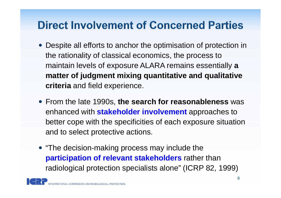## **Direct Involvement of Concerned Parties**

- Despite all efforts to anchor the optimisation of protection in the rationality of classical economics, the process to maintain levels of exposure ALARA remains essentially **a matter of judgment mixing quantitative and qualitative criteria** and field experience.
- From the late 1990s, **the search for reasonableness** was enhanced with **stakeholder involvement** approaches to better cope with the specificities of each exposure situation and to select protective actions.
- "The decision-making process may include the **participation of relevant stakeholders** rather than radiological protection specialists alone" (ICRP 82, 1999)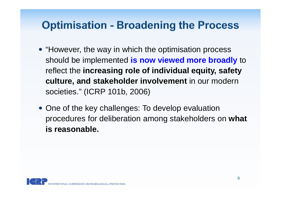#### **Optimisation - Broadening the Process**

- "However, the way in which the optimisation process should be implemented **is now viewed more broadly** to reflect the **increasing role of individual equity, safety culture, and stakeholder involvement** in our modern societies." (ICRP 101b, 2006)
- One of the key challenges: To develop evaluation procedures for deliberation among stakeholders on **what is reasonable.**

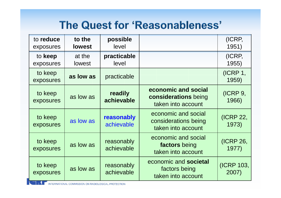### The Quest for 'Reasonableness'

| to reduce<br>exposures | to the<br><b>lowest</b> | possible<br>level        |                                                                     | (ICRP,<br>1951)     |
|------------------------|-------------------------|--------------------------|---------------------------------------------------------------------|---------------------|
| to keep<br>exposures   | at the<br>lowest        | practicable<br>level     |                                                                     | (ICRP,<br>1955)     |
| to keep<br>exposures   | as low as               | practicable              |                                                                     | (ICRP 1,<br>1959)   |
| to keep<br>exposures   | as low as               | readily<br>achievable    | economic and social<br>considerations being<br>taken into account   | (ICRP 9,<br>1966)   |
| to keep<br>exposures   | as low as               | reasonably<br>achievable | economic and social<br>considerations being<br>taken into account   | (ICRP 22,<br>1973)  |
| to keep<br>exposures   | as low as               | reasonably<br>achievable | economic and social<br>factors being<br>taken into account          | (ICRP 26,<br>1977)  |
| to keep<br>exposures   | as low as               | reasonably<br>achievable | economic and <b>societal</b><br>factors being<br>taken into account | (ICRP 103,<br>2007) |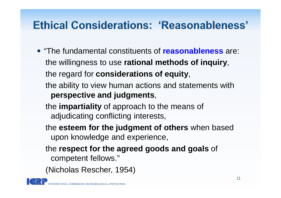## **Ethical Considerations: 'Reasonableness'**

- "The fundamental constituents of **reasonableness** are: the willingness to use **rational methods of inquiry**, the regard for **considerations of equity**,
	- the ability to view human actions and statements with **perspective and judgments**,
	- the **impartiality** of approach to the means of adjudicating conflicting interests,
	- the **esteem for the judgment of others** when based upon knowledge and experience,
	- the **respect for the agreed goods and goals** of competent fellows."
	- (Nicholas Rescher, 1954)

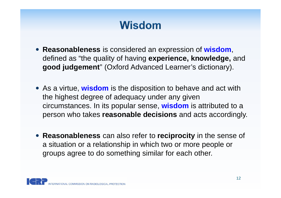## **Wisdom**

- **Reasonableness** is considered an expression of **wisdom**, defined as "the quality of having **experience, knowledge,** and **good judgement**" (Oxford Advanced Learner's dictionary).
- As a virtue, **wisdom** is the disposition to behave and act with the highest degree of adequacy under any given circumstances. In its popular sense, **wisdom** is attributed to a person who takes **reasonable decisions** and acts accordingly.
- **Reasonableness** can also refer to **reciprocity** in the sense of a situation or a relationship in which two or more people or groups agree to do something similar for each other.

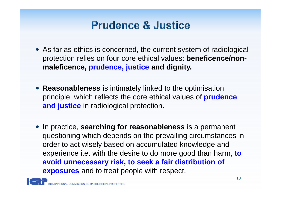### **Prudence & Justice**

- As far as ethics is concerned, the current system of radiological protection relies on four core ethical values: **beneficence/nonmaleficence, prudence, justice and dignity.**
- **Reasonableness** is intimately linked to the optimisation principle, which reflects the core ethical values of **prudence and justice** in radiological protection**.**
- **•** In practice, searching for reasonableness is a permanent questioning which depends on the prevailing circumstances in order to act wisely based on accumulated knowledge and experience i.e. with the desire to do more good than harm, **to avoid unnecessary risk, to seek a fair distribution of exposures** and to treat people with respect.

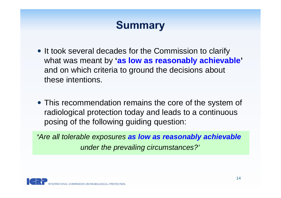## **Summary**

- It took several decades for the Commission to clarify what was meant by **'as low as reasonably achievable'** and on which criteria to ground the decisions about these intentions.
- This recommendation remains the core of the system of radiological protection today and leads to a continuous posing of the following guiding question:

*'Are all tolerable exposures as low as reasonably achievable under the prevailing circumstances?'*

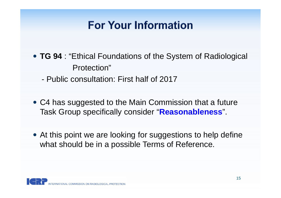## **For Your Information**

- **TG 94** : "Ethical Foundations of the System of Radiological Protection"
	- Public consultation: First half of 2017
- C4 has suggested to the Main Commission that a future Task Group specifically consider "**Reasonableness**".
- At this point we are looking for suggestions to help define what should be in a possible Terms of Reference.